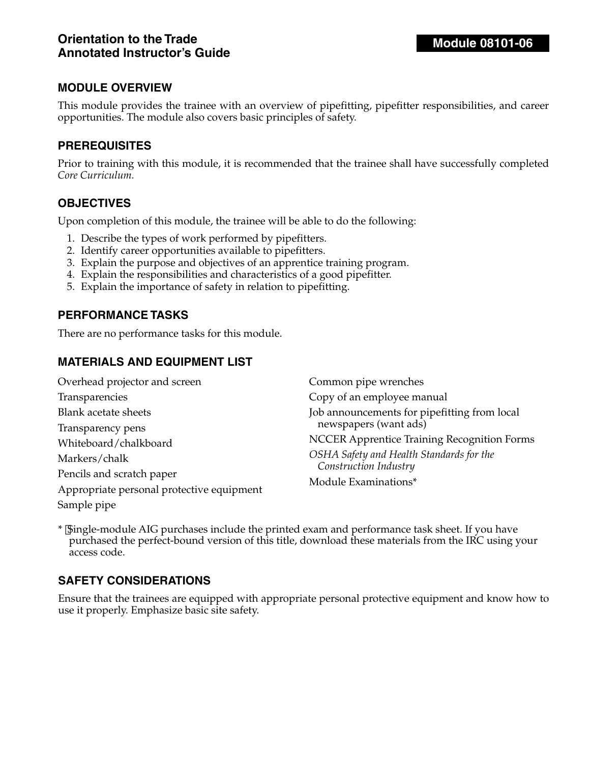This module provides the trainee with an overview of pipefitting, pipefitter responsibilities, and career opportunities. The module also covers basic principles of safety.

#### **PREREQUISITES**

Prior to training with this module, it is recommended that the trainee shall have successfully completed *Core Curriculum.*

#### **OBJECTIVES**

Upon completion of this module, the trainee will be able to do the following:

- 1. Describe the types of work performed by pipefitters.
- 2. Identify career opportunities available to pipefitters.
- 3. Explain the purpose and objectives of an apprentice training program.
- 4. Explain the responsibilities and characteristics of a good pipefitter.
- 5. Explain the importance of safety in relation to pipefitting.

#### **PERFORMANCE TASKS**

There are no performance tasks for this module.

## **MATERIALS AND EQUIPMENT LIST**

| Overhead projector and screen             | Common pipe wrenches                               |
|-------------------------------------------|----------------------------------------------------|
| Transparencies                            | Copy of an employee manual                         |
| <b>Blank acetate sheets</b>               | Job announcements for pipefitting from local       |
| Transparency pens                         | newspapers (want ads)                              |
| Whiteboard/chalkboard                     | <b>NCCER Apprentice Training Recognition Forms</b> |
| Markers/chalk                             | OSHA Safety and Health Standards for the           |
| Pencils and scratch paper                 | Construction Industry                              |
| Appropriate personal protective equipment | Module Examinations*                               |
| Sample pipe                               |                                                    |

\* Single-module AIG purchases include the printed exam and performance task sheet. If you have purchased the perfect-bound version of this title, download these materials from the IRC using your access code.

#### **SAFETY CONSIDERATIONS**

Ensure that the trainees are equipped with appropriate personal protective equipment and know how to use it properly. Emphasize basic site safety.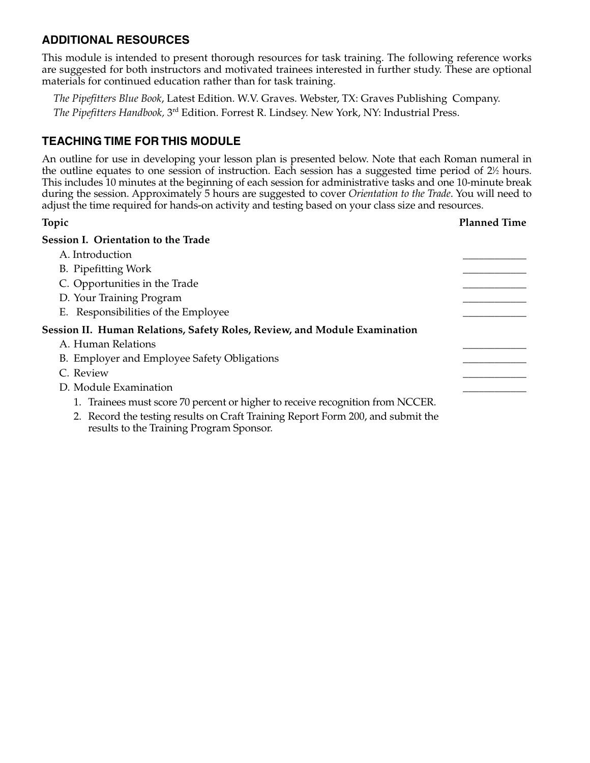## **ADDITIONAL RESOURCES**

This module is intended to present thorough resources for task training. The following reference works are suggested for both instructors and motivated trainees interested in further study. These are optional materials for continued education rather than for task training.

*The Pipefitters Blue Book*, Latest Edition. W.V. Graves. Webster, TX: Graves Publishing Company. *The Pipefitters Handbook,* 3rd Edition. Forrest R. Lindsey. New York, NY: Industrial Press.

## **TEACHING TIME FOR THIS MODULE**

An outline for use in developing your lesson plan is presented below. Note that each Roman numeral in the outline equates to one session of instruction. Each session has a suggested time period of 2½ hours. This includes 10 minutes at the beginning of each session for administrative tasks and one 10-minute break during the session. Approximately 5 hours are suggested to cover *Orientation to the Trade*. You will need to adjust the time required for hands-on activity and testing based on your class size and resources.

| Topic                                                                                                                       | <b>Planned Time</b> |
|-----------------------------------------------------------------------------------------------------------------------------|---------------------|
| Session I. Orientation to the Trade                                                                                         |                     |
| A. Introduction                                                                                                             |                     |
| B. Pipefitting Work                                                                                                         |                     |
| C. Opportunities in the Trade                                                                                               |                     |
| D. Your Training Program                                                                                                    |                     |
| E. Responsibilities of the Employee                                                                                         |                     |
| Session II. Human Relations, Safety Roles, Review, and Module Examination                                                   |                     |
| A. Human Relations                                                                                                          |                     |
| B. Employer and Employee Safety Obligations                                                                                 |                     |
| C. Review                                                                                                                   |                     |
| D. Module Examination                                                                                                       |                     |
| 1. Trainees must score 70 percent or higher to receive recognition from NCCER.                                              |                     |
| 2. Record the testing results on Craft Training Report Form 200, and submit the<br>results to the Training Program Sponsor. |                     |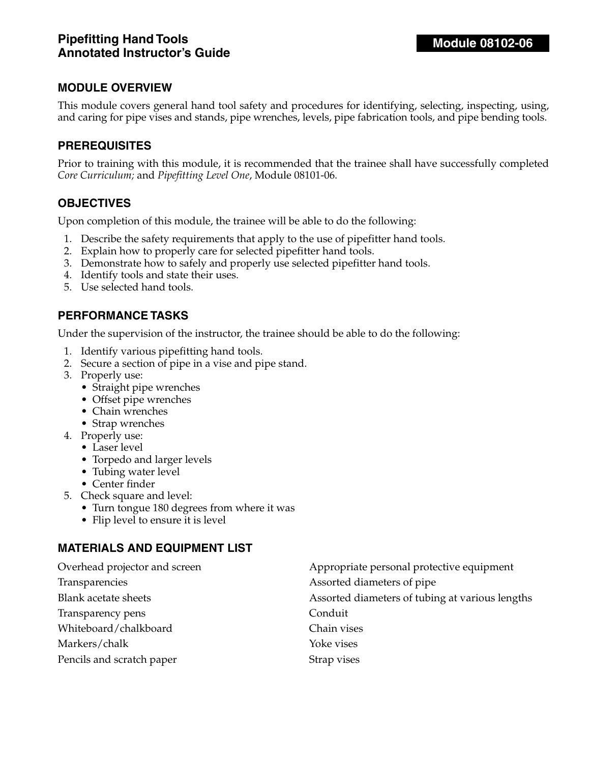This module covers general hand tool safety and procedures for identifying, selecting, inspecting, using, and caring for pipe vises and stands, pipe wrenches, levels, pipe fabrication tools, and pipe bending tools.

#### **PREREQUISITES**

Prior to training with this module, it is recommended that the trainee shall have successfully completed *Core Curriculum;* and *Pipefitting Level One*, Module 08101-06.

#### **OBJECTIVES**

Upon completion of this module, the trainee will be able to do the following:

- 1. Describe the safety requirements that apply to the use of pipefitter hand tools.
- 2. Explain how to properly care for selected pipefitter hand tools.
- 3. Demonstrate how to safely and properly use selected pipefitter hand tools.
- 4. Identify tools and state their uses.
- 5. Use selected hand tools.

#### **PERFORMANCE TASKS**

Under the supervision of the instructor, the trainee should be able to do the following:

- 1. Identify various pipefitting hand tools.
- 2. Secure a section of pipe in a vise and pipe stand.
- 3. Properly use:
	- Straight pipe wrenches
	- Offset pipe wrenches
	- Chain wrenches
	- Strap wrenches
- 4. Properly use:
	- Laser level
	- Torpedo and larger levels
	- Tubing water level
	- Center finder
- 5. Check square and level:
	- Turn tongue 180 degrees from where it was
	- Flip level to ensure it is level

#### **MATERIALS AND EQUIPMENT LIST**

| Overhead projector and screen | Appropriate personal protective equipment       |
|-------------------------------|-------------------------------------------------|
| Transparencies                | Assorted diameters of pipe                      |
| Blank acetate sheets          | Assorted diameters of tubing at various lengths |
| Transparency pens             | Conduit                                         |
| Whiteboard/chalkboard         | Chain vises                                     |
| Markers/chalk                 | Yoke vises                                      |
| Pencils and scratch paper     | Strap vises                                     |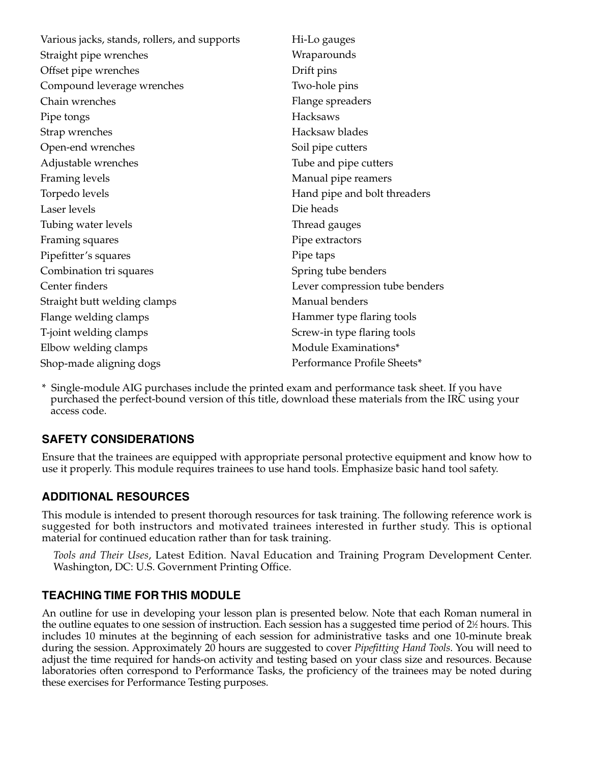| Various jacks, stands, rollers, and supports | Hi-Lo gauges                   |
|----------------------------------------------|--------------------------------|
| Straight pipe wrenches                       | Wraparounds                    |
| Offset pipe wrenches                         | Drift pins                     |
| Compound leverage wrenches                   | Two-hole pins                  |
| Chain wrenches                               | Flange spreaders               |
| Pipe tongs                                   | <b>Hacksaws</b>                |
| Strap wrenches                               | Hacksaw blades                 |
| Open-end wrenches                            | Soil pipe cutters              |
| Adjustable wrenches                          | Tube and pipe cutters          |
| Framing levels                               | Manual pipe reamers            |
| Torpedo levels                               | Hand pipe and bolt threaders   |
| Laser levels                                 | Die heads                      |
| Tubing water levels                          | Thread gauges                  |
| Framing squares                              | Pipe extractors                |
| Pipefitter's squares                         | Pipe taps                      |
| Combination tri squares                      | Spring tube benders            |
| Center finders                               | Lever compression tube benders |
| Straight butt welding clamps                 | Manual benders                 |
| Flange welding clamps                        | Hammer type flaring tools      |
| T-joint welding clamps                       | Screw-in type flaring tools    |
| Elbow welding clamps                         | Module Examinations*           |
| Shop-made aligning dogs                      | Performance Profile Sheets*    |

\* Single-module AIG purchases include the printed exam and performance task sheet. If you have purchased the perfect-bound version of this title, download these materials from the IRC using your access code.

# **SAFETY CONSIDERATIONS**

Ensure that the trainees are equipped with appropriate personal protective equipment and know how to use it properly. This module requires trainees to use hand tools. Emphasize basic hand tool safety.

## **ADDITIONAL RESOURCES**

This module is intended to present thorough resources for task training. The following reference work is suggested for both instructors and motivated trainees interested in further study. This is optional material for continued education rather than for task training.

*Tools and Their Uses*, Latest Edition. Naval Education and Training Program Development Center. Washington, DC: U.S. Government Printing Office.

#### **TEACHING TIME FOR THIS MODULE**

An outline for use in developing your lesson plan is presented below. Note that each Roman numeral in the outline equates to one session of instruction. Each session has a suggested time period of 2½ hours. This includes 10 minutes at the beginning of each session for administrative tasks and one 10-minute break during the session. Approximately 20 hours are suggested to cover *Pipefitting Hand Tools*. You will need to adjust the time required for hands-on activity and testing based on your class size and resources. Because laboratories often correspond to Performance Tasks, the proficiency of the trainees may be noted during these exercises for Performance Testing purposes.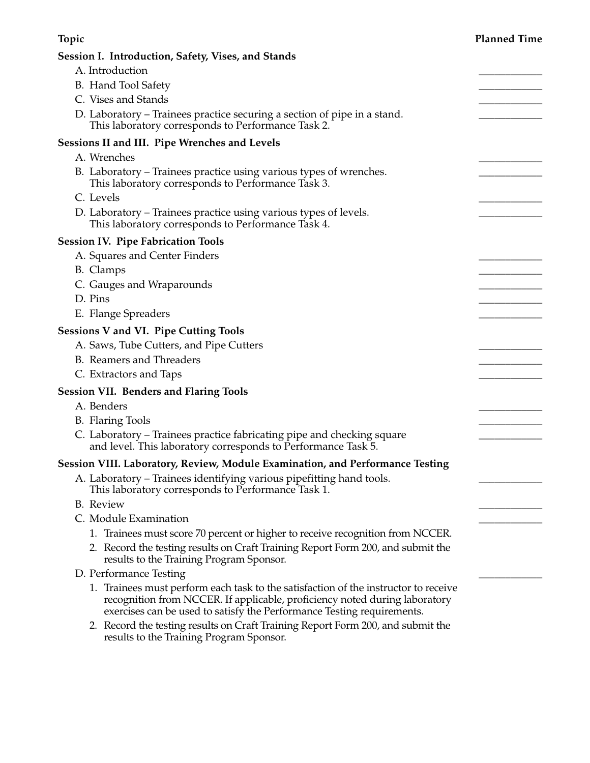| <b>Topic</b>                                                                                                                                                                                                                                | <b>Planned Time</b> |
|---------------------------------------------------------------------------------------------------------------------------------------------------------------------------------------------------------------------------------------------|---------------------|
| Session I. Introduction, Safety, Vises, and Stands                                                                                                                                                                                          |                     |
| A. Introduction                                                                                                                                                                                                                             |                     |
| B. Hand Tool Safety                                                                                                                                                                                                                         |                     |
| C. Vises and Stands                                                                                                                                                                                                                         |                     |
| D. Laboratory - Trainees practice securing a section of pipe in a stand.<br>This laboratory corresponds to Performance Task 2.                                                                                                              |                     |
| Sessions II and III. Pipe Wrenches and Levels                                                                                                                                                                                               |                     |
| A. Wrenches                                                                                                                                                                                                                                 |                     |
| B. Laboratory – Trainees practice using various types of wrenches.<br>This laboratory corresponds to Performance Task 3.                                                                                                                    |                     |
| C. Levels                                                                                                                                                                                                                                   |                     |
| D. Laboratory – Trainees practice using various types of levels.<br>This laboratory corresponds to Performance Task 4.                                                                                                                      |                     |
| <b>Session IV. Pipe Fabrication Tools</b>                                                                                                                                                                                                   |                     |
| A. Squares and Center Finders                                                                                                                                                                                                               |                     |
| B. Clamps                                                                                                                                                                                                                                   |                     |
| C. Gauges and Wraparounds                                                                                                                                                                                                                   |                     |
| D. Pins                                                                                                                                                                                                                                     |                     |
| E. Flange Spreaders                                                                                                                                                                                                                         |                     |
| <b>Sessions V and VI. Pipe Cutting Tools</b>                                                                                                                                                                                                |                     |
| A. Saws, Tube Cutters, and Pipe Cutters                                                                                                                                                                                                     |                     |
| B. Reamers and Threaders                                                                                                                                                                                                                    |                     |
| C. Extractors and Taps                                                                                                                                                                                                                      |                     |
| <b>Session VII. Benders and Flaring Tools</b>                                                                                                                                                                                               |                     |
| A. Benders                                                                                                                                                                                                                                  |                     |
| <b>B.</b> Flaring Tools                                                                                                                                                                                                                     |                     |
| C. Laboratory - Trainees practice fabricating pipe and checking square<br>and level. This laboratory corresponds to Performance Task 5.                                                                                                     |                     |
| Session VIII. Laboratory, Review, Module Examination, and Performance Testing                                                                                                                                                               |                     |
| A. Laboratory – Trainees identifying various pipefitting hand tools.<br>This laboratory corresponds to Performance Task 1.                                                                                                                  |                     |
| <b>B.</b> Review                                                                                                                                                                                                                            |                     |
| C. Module Examination                                                                                                                                                                                                                       |                     |
| 1. Trainees must score 70 percent or higher to receive recognition from NCCER.                                                                                                                                                              |                     |
| 2. Record the testing results on Craft Training Report Form 200, and submit the<br>results to the Training Program Sponsor.                                                                                                                 |                     |
| D. Performance Testing                                                                                                                                                                                                                      |                     |
| 1. Trainees must perform each task to the satisfaction of the instructor to receive<br>recognition from NCCER. If applicable, proficiency noted during laboratory<br>exercises can be used to satisfy the Performance Testing requirements. |                     |
| 2. Record the testing results on Craft Training Report Form 200, and submit the<br>results to the Training Program Sponsor.                                                                                                                 |                     |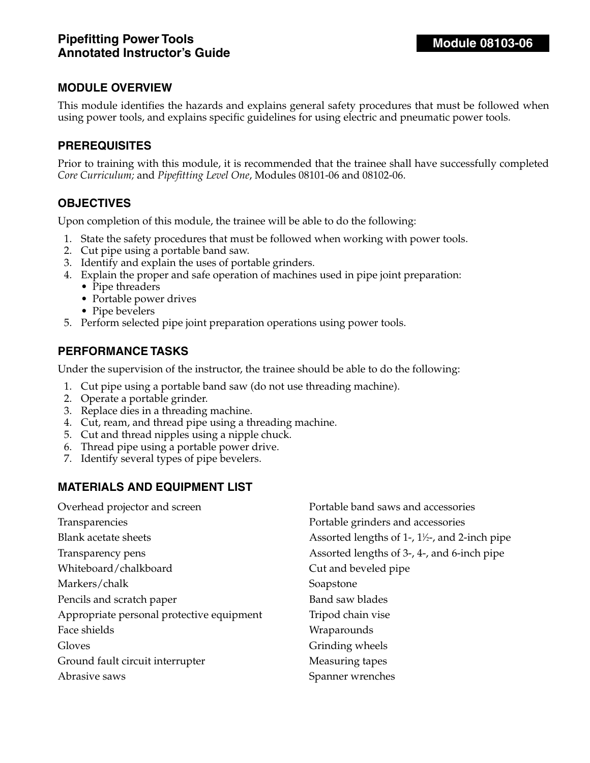This module identifies the hazards and explains general safety procedures that must be followed when using power tools, and explains specific guidelines for using electric and pneumatic power tools.

#### **PREREQUISITES**

Prior to training with this module, it is recommended that the trainee shall have successfully completed *Core Curriculum;* and *Pipefitting Level One*, Modules 08101-06 and 08102-06.

#### **OBJECTIVES**

Upon completion of this module, the trainee will be able to do the following:

- 1. State the safety procedures that must be followed when working with power tools.
- 2. Cut pipe using a portable band saw.
- 3. Identify and explain the uses of portable grinders.
- 4. Explain the proper and safe operation of machines used in pipe joint preparation:
	- Pipe threaders
	- Portable power drives
	- Pipe bevelers
- 5. Perform selected pipe joint preparation operations using power tools.

#### **PERFORMANCE TASKS**

Under the supervision of the instructor, the trainee should be able to do the following:

- 1. Cut pipe using a portable band saw (do not use threading machine).
- 2. Operate a portable grinder.
- 3. Replace dies in a threading machine.
- 4. Cut, ream, and thread pipe using a threading machine.
- 5. Cut and thread nipples using a nipple chuck.
- 6. Thread pipe using a portable power drive.
- 7. Identify several types of pipe bevelers.

#### **MATERIALS AND EQUIPMENT LIST**

| Overhead projector and screen             | Portable band saws and accessories                        |
|-------------------------------------------|-----------------------------------------------------------|
| Transparencies                            | Portable grinders and accessories                         |
| <b>Blank acetate sheets</b>               | Assorted lengths of 1-, $1\frac{1}{2}$ -, and 2-inch pipe |
| Transparency pens                         | Assorted lengths of 3-, 4-, and 6-inch pipe               |
| Whiteboard/chalkboard                     | Cut and beveled pipe                                      |
| Markers/chalk                             | Soapstone                                                 |
| Pencils and scratch paper                 | Band saw blades                                           |
| Appropriate personal protective equipment | Tripod chain vise                                         |
| Face shields                              | Wraparounds                                               |
| Gloves                                    | Grinding wheels                                           |
| Ground fault circuit interrupter          | Measuring tapes                                           |
| Abrasive saws                             | Spanner wrenches                                          |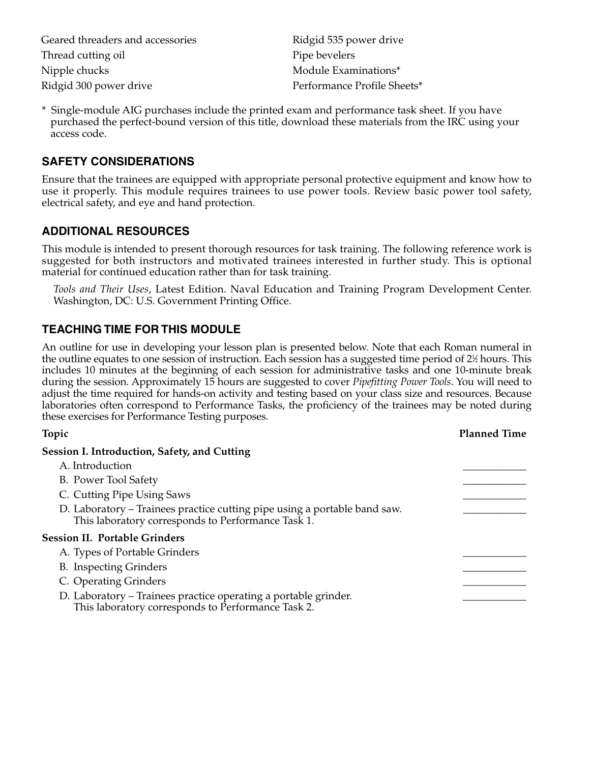| Geared threaders and accessories | Ridgid 535 power drive      |
|----------------------------------|-----------------------------|
| Thread cutting oil               | Pipe bevelers               |
| Nipple chucks                    | Module Examinations*        |
| Ridgid 300 power drive           | Performance Profile Sheets* |

\* Single-module AIG purchases include the printed exam and performance task sheet. If you have purchased the perfect-bound version of this title, download these materials from the IRC using your access code.

## **SAFETY CONSIDERATIONS**

Ensure that the trainees are equipped with appropriate personal protective equipment and know how to use it properly. This module requires trainees to use power tools. Review basic power tool safety, electrical safety, and eye and hand protection.

#### **ADDITIONAL RESOURCES**

This module is intended to present thorough resources for task training. The following reference work is suggested for both instructors and motivated trainees interested in further study. This is optional material for continued education rather than for task training.

*Tools and Their Uses*, Latest Edition. Naval Education and Training Program Development Center. Washington, DC: U.S. Government Printing Office.

## **TEACHING TIME FOR THIS MODULE**

An outline for use in developing your lesson plan is presented below. Note that each Roman numeral in the outline equates to one session of instruction. Each session has a suggested time period of 2½ hours. This includes 10 minutes at the beginning of each session for administrative tasks and one 10-minute break during the session. Approximately 15 hours are suggested to cover *Pipefitting Power Tools*. You will need to adjust the time required for hands-on activity and testing based on your class size and resources. Because laboratories often correspond to Performance Tasks, the proficiency of the trainees may be noted during these exercises for Performance Testing purposes.

#### **Topic Planned Time**

| <b>Session I. Introduction, Safety, and Cutting</b>                                                                             |  |
|---------------------------------------------------------------------------------------------------------------------------------|--|
| A. Introduction                                                                                                                 |  |
| B. Power Tool Safety                                                                                                            |  |
| C. Cutting Pipe Using Saws                                                                                                      |  |
| D. Laboratory – Trainees practice cutting pipe using a portable band saw.<br>This laboratory corresponds to Performance Task 1. |  |
| <b>Session II. Portable Grinders</b>                                                                                            |  |
| A. Types of Portable Grinders                                                                                                   |  |
| <b>B.</b> Inspecting Grinders                                                                                                   |  |
| C. Operating Grinders                                                                                                           |  |
| D. Laboratory – Trainees practice operating a portable grinder.<br>This laboratory corresponds to Performance Task 2.           |  |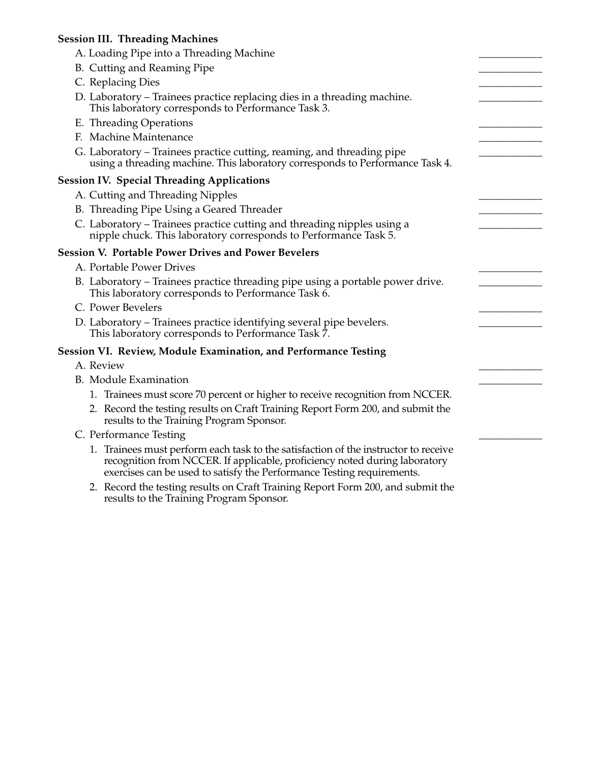## **Session III. Threading Machines**

| A. Loading Pipe into a Threading Machine                                                                                                                                                                                                    |  |
|---------------------------------------------------------------------------------------------------------------------------------------------------------------------------------------------------------------------------------------------|--|
| B. Cutting and Reaming Pipe                                                                                                                                                                                                                 |  |
| C. Replacing Dies                                                                                                                                                                                                                           |  |
| D. Laboratory – Trainees practice replacing dies in a threading machine.                                                                                                                                                                    |  |
| This laboratory corresponds to Performance Task 3.                                                                                                                                                                                          |  |
| E. Threading Operations                                                                                                                                                                                                                     |  |
| F. Machine Maintenance                                                                                                                                                                                                                      |  |
| G. Laboratory – Trainees practice cutting, reaming, and threading pipe<br>using a threading machine. This laboratory corresponds to Performance Task 4.                                                                                     |  |
| <b>Session IV. Special Threading Applications</b>                                                                                                                                                                                           |  |
| A. Cutting and Threading Nipples                                                                                                                                                                                                            |  |
| B. Threading Pipe Using a Geared Threader                                                                                                                                                                                                   |  |
| C. Laboratory – Trainees practice cutting and threading nipples using a                                                                                                                                                                     |  |
| nipple chuck. This laboratory corresponds to Performance Task 5.                                                                                                                                                                            |  |
| <b>Session V. Portable Power Drives and Power Bevelers</b>                                                                                                                                                                                  |  |
| A. Portable Power Drives                                                                                                                                                                                                                    |  |
| B. Laboratory – Trainees practice threading pipe using a portable power drive.<br>This laboratory corresponds to Performance Task 6.                                                                                                        |  |
| C. Power Bevelers                                                                                                                                                                                                                           |  |
| D. Laboratory – Trainees practice identifying several pipe bevelers.<br>This laboratory corresponds to Performance Task 7.                                                                                                                  |  |
| Session VI. Review, Module Examination, and Performance Testing                                                                                                                                                                             |  |
| A. Review                                                                                                                                                                                                                                   |  |
| <b>B.</b> Module Examination                                                                                                                                                                                                                |  |
| 1. Trainees must score 70 percent or higher to receive recognition from NCCER.                                                                                                                                                              |  |
| 2. Record the testing results on Craft Training Report Form 200, and submit the<br>results to the Training Program Sponsor.                                                                                                                 |  |
| C. Performance Testing                                                                                                                                                                                                                      |  |
| 1. Trainees must perform each task to the satisfaction of the instructor to receive<br>recognition from NCCER. If applicable, proficiency noted during laboratory<br>exercises can be used to satisfy the Performance Testing requirements. |  |
| 2. Description to the west the one Cueft Turkings Depart Four 200, and automit the                                                                                                                                                          |  |

2. Record the testing results on Craft Training Report Form 200, and submit the results to the Training Program Sponsor.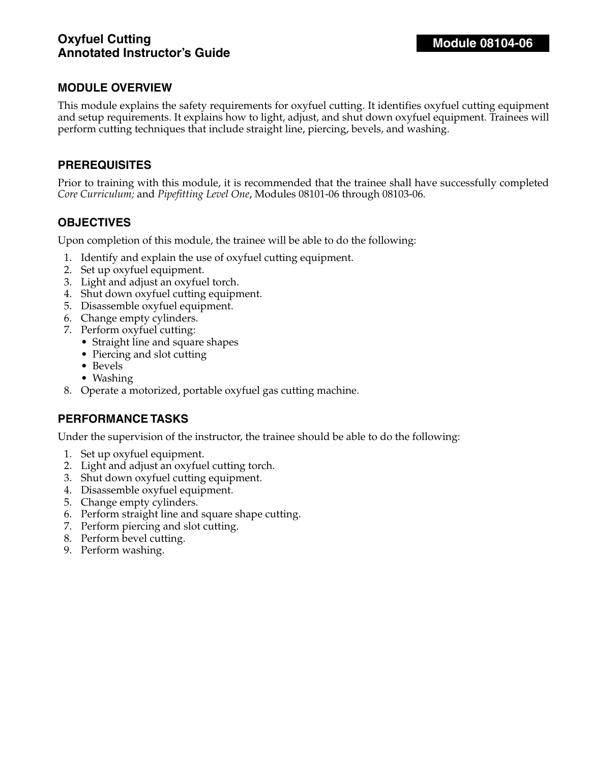## **Oxyfuel Cutting Annotated Instructor's Guide**

## **MODULE OVERVIEW**

This module explains the safety requirements for oxyfuel cutting. It identifies oxyfuel cutting equipment and setup requirements. It explains how to light, adjust, and shut down oxyfuel equipment. Trainees will perform cutting techniques that include straight line, piercing, bevels, and washing.

#### **PREREQUISITES**

Prior to training with this module, it is recommended that the trainee shall have successfully completed *Core Curriculum;* and *Pipefitting Level One*, Modules 08101-06 through 08103-06.

#### **OBJECTIVES**

Upon completion of this module, the trainee will be able to do the following:

- 1. Identify and explain the use of oxyfuel cutting equipment.
- 2. Set up oxyfuel equipment.
- 3. Light and adjust an oxyfuel torch.
- 4. Shut down oxyfuel cutting equipment.
- 5. Disassemble oxyfuel equipment.
- 6. Change empty cylinders.
- 7. Perform oxyfuel cutting:
	- Straight line and square shapes
	- Piercing and slot cutting
	- Bevels
	- Washing
- 8. Operate a motorized, portable oxyfuel gas cutting machine.

#### **PERFORMANCE TASKS**

Under the supervision of the instructor, the trainee should be able to do the following:

- 1. Set up oxyfuel equipment.
- 2. Light and adjust an oxyfuel cutting torch.
- 3. Shut down oxyfuel cutting equipment.
- 4. Disassemble oxyfuel equipment.
- 5. Change empty cylinders.
- 6. Perform straight line and square shape cutting.
- 7. Perform piercing and slot cutting.
- 8. Perform bevel cutting.
- 9. Perform washing.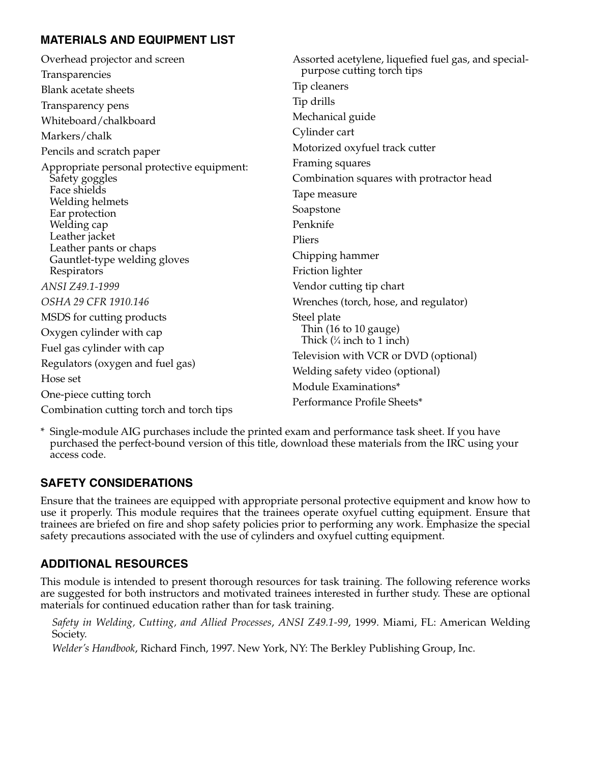# **MATERIALS AND EQUIPMENT LIST**

| Overhead projector and screen                          | Assorted acetylene, liquefied fuel gas, and special- |
|--------------------------------------------------------|------------------------------------------------------|
| Transparencies                                         | purpose cutting torch tips                           |
| <b>Blank acetate sheets</b>                            | Tip cleaners                                         |
| Transparency pens                                      | Tip drills                                           |
| Whiteboard/chalkboard                                  | Mechanical guide                                     |
| Markers/chalk                                          | Cylinder cart                                        |
| Pencils and scratch paper                              | Motorized oxyfuel track cutter                       |
| Appropriate personal protective equipment:             | Framing squares                                      |
| Safety goggles                                         | Combination squares with protractor head             |
| Face shields                                           | Tape measure                                         |
| Welding helmets<br>Ear protection                      | Soapstone                                            |
| Welding cap                                            | Penknife                                             |
| Leather jacket                                         | Pliers                                               |
| Leather pants or chaps<br>Gauntlet-type welding gloves | Chipping hammer                                      |
| Respirators                                            | Friction lighter                                     |
| ANSI Z49.1-1999                                        | Vendor cutting tip chart                             |
| OSHA 29 CFR 1910.146                                   | Wrenches (torch, hose, and regulator)                |
| MSDS for cutting products                              | Steel plate                                          |
| Oxygen cylinder with cap                               | Thin (16 to 10 gauge)                                |
| Fuel gas cylinder with cap                             | Thick $(\frac{1}{4}$ inch to 1 inch)                 |
| Regulators (oxygen and fuel gas)                       | Television with VCR or DVD (optional)                |
| Hose set                                               | Welding safety video (optional)                      |
| One-piece cutting torch                                | Module Examinations*                                 |
| Combination cutting torch and torch tips               | Performance Profile Sheets*                          |

\* Single-module AIG purchases include the printed exam and performance task sheet. If you have purchased the perfect-bound version of this title, download these materials from the IRC using your access code.

## **SAFETY CONSIDERATIONS**

Ensure that the trainees are equipped with appropriate personal protective equipment and know how to use it properly. This module requires that the trainees operate oxyfuel cutting equipment. Ensure that trainees are briefed on fire and shop safety policies prior to performing any work. Emphasize the special safety precautions associated with the use of cylinders and oxyfuel cutting equipment.

# **ADDITIONAL RESOURCES**

This module is intended to present thorough resources for task training. The following reference works are suggested for both instructors and motivated trainees interested in further study. These are optional materials for continued education rather than for task training.

*Safety in Welding, Cutting, and Allied Processes*, *ANSI Z49.1-99*, 1999. Miami, FL: American Welding Society.

*Welder's Handbook*, Richard Finch, 1997. New York, NY: The Berkley Publishing Group, Inc.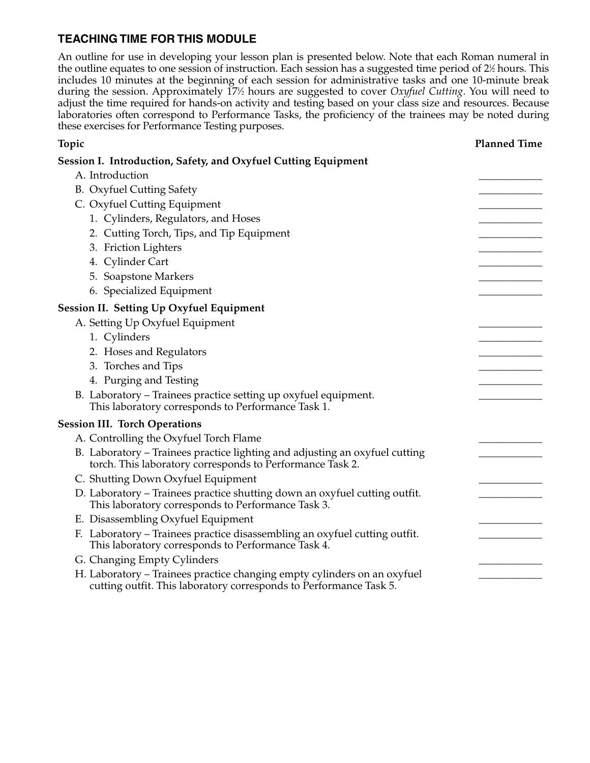## **TEACHING TIME FOR THIS MODULE**

An outline for use in developing your lesson plan is presented below. Note that each Roman numeral in the outline equates to one session of instruction. Each session has a suggested time period of 2½ hours. This includes 10 minutes at the beginning of each session for administrative tasks and one 10-minute break during the session. Approximately 171 ⁄2 hours are suggested to cover *Oxyfuel Cutting*. You will need to adjust the time required for hands-on activity and testing based on your class size and resources. Because laboratories often correspond to Performance Tasks, the proficiency of the trainees may be noted during these exercises for Performance Testing purposes.

| Topic                                                                                                                                          | <b>Planned Time</b> |
|------------------------------------------------------------------------------------------------------------------------------------------------|---------------------|
| Session I. Introduction, Safety, and Oxyfuel Cutting Equipment                                                                                 |                     |
| A. Introduction                                                                                                                                |                     |
| <b>B.</b> Oxyfuel Cutting Safety                                                                                                               |                     |
| C. Oxyfuel Cutting Equipment                                                                                                                   |                     |
| 1. Cylinders, Regulators, and Hoses                                                                                                            |                     |
| 2. Cutting Torch, Tips, and Tip Equipment                                                                                                      |                     |
| 3. Friction Lighters                                                                                                                           |                     |
| 4. Cylinder Cart                                                                                                                               |                     |
| 5. Soapstone Markers                                                                                                                           |                     |
| 6. Specialized Equipment                                                                                                                       |                     |
| <b>Session II. Setting Up Oxyfuel Equipment</b>                                                                                                |                     |
| A. Setting Up Oxyfuel Equipment                                                                                                                |                     |
| 1. Cylinders                                                                                                                                   |                     |
| 2. Hoses and Regulators                                                                                                                        |                     |
| 3. Torches and Tips                                                                                                                            |                     |
| 4. Purging and Testing                                                                                                                         |                     |
| B. Laboratory - Trainees practice setting up oxyfuel equipment.<br>This laboratory corresponds to Performance Task 1.                          |                     |
| <b>Session III. Torch Operations</b>                                                                                                           |                     |
| A. Controlling the Oxyfuel Torch Flame                                                                                                         |                     |
| B. Laboratory - Trainees practice lighting and adjusting an oxyfuel cutting<br>torch. This laboratory corresponds to Performance Task 2.       |                     |
| C. Shutting Down Oxyfuel Equipment                                                                                                             |                     |
| D. Laboratory - Trainees practice shutting down an oxyfuel cutting outfit.<br>This laboratory corresponds to Performance Task 3.               |                     |
| E. Disassembling Oxyfuel Equipment                                                                                                             |                     |
| F. Laboratory - Trainees practice disassembling an oxyfuel cutting outfit.<br>This laboratory corresponds to Performance Task 4.               |                     |
| G. Changing Empty Cylinders                                                                                                                    |                     |
| H. Laboratory - Trainees practice changing empty cylinders on an oxyfuel<br>cutting outfit. This laboratory corresponds to Performance Task 5. |                     |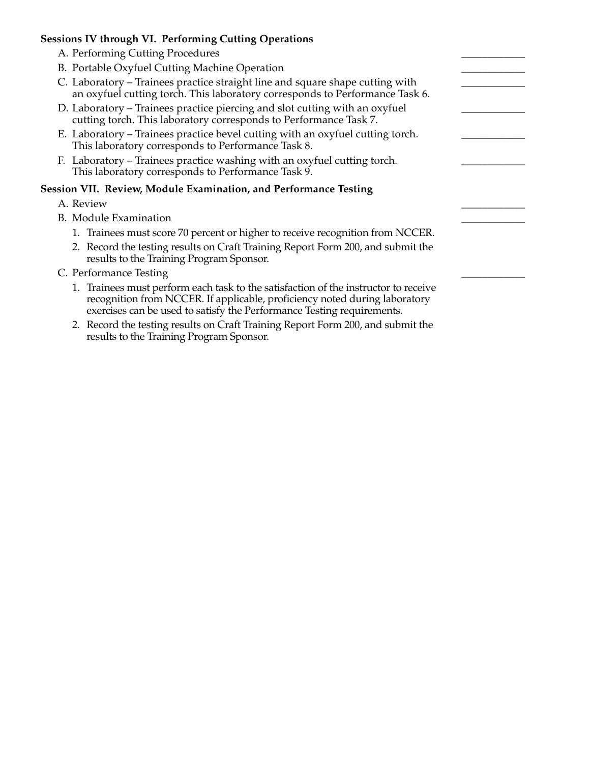#### **Sessions IV through VI. Performing Cutting Operations**

- A. Performing Cutting Procedures
- B. Portable Oxyfuel Cutting Machine Operation
- C. Laboratory Trainees practice straight line and square shape cutting with an oxyfuel cutting torch. This laboratory corresponds to Performance Task 6.
- D. Laboratory Trainees practice piercing and slot cutting with an oxyfuel cutting torch. This laboratory corresponds to Performance Task 7.
- E. Laboratory Trainees practice bevel cutting with an oxyfuel cutting torch. This laboratory corresponds to Performance Task 8.
- F. Laboratory Trainees practice washing with an oxyfuel cutting torch. This laboratory corresponds to Performance Task 9.

#### **Session VII. Review, Module Examination, and Performance Testing**

- A. Review \_\_\_\_\_\_\_\_\_\_\_\_
- B. Module Examination
	- 1. Trainees must score 70 percent or higher to receive recognition from NCCER.
	- 2. Record the testing results on Craft Training Report Form 200, and submit the results to the Training Program Sponsor.
- C. Performance Testing
	- 1. Trainees must perform each task to the satisfaction of the instructor to receive recognition from NCCER. If applicable, proficiency noted during laboratory exercises can be used to satisfy the Performance Testing requirements.
	- 2. Record the testing results on Craft Training Report Form 200, and submit the results to the Training Program Sponsor.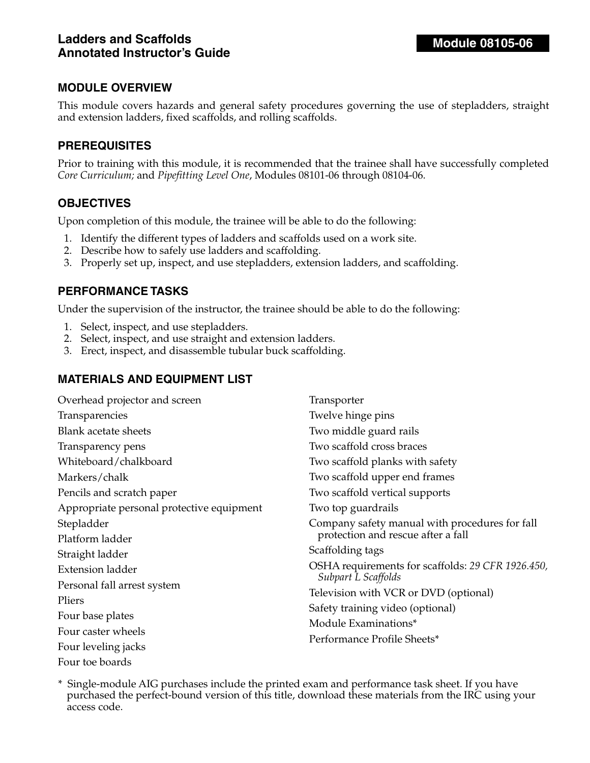This module covers hazards and general safety procedures governing the use of stepladders, straight and extension ladders, fixed scaffolds, and rolling scaffolds.

#### **PREREQUISITES**

Prior to training with this module, it is recommended that the trainee shall have successfully completed *Core Curriculum;* and *Pipefitting Level One*, Modules 08101-06 through 08104-06.

#### **OBJECTIVES**

Upon completion of this module, the trainee will be able to do the following:

- 1. Identify the different types of ladders and scaffolds used on a work site.
- 2. Describe how to safely use ladders and scaffolding.
- 3. Properly set up, inspect, and use stepladders, extension ladders, and scaffolding.

#### **PERFORMANCE TASKS**

Under the supervision of the instructor, the trainee should be able to do the following:

- 1. Select, inspect, and use stepladders.
- 2. Select, inspect, and use straight and extension ladders.
- 3. Erect, inspect, and disassemble tubular buck scaffolding.

## **MATERIALS AND EQUIPMENT LIST**

| Overhead projector and screen             | Transporter                                                              |
|-------------------------------------------|--------------------------------------------------------------------------|
| Transparencies                            | Twelve hinge pins                                                        |
| <b>Blank acetate sheets</b>               | Two middle guard rails                                                   |
| Transparency pens                         | Two scaffold cross braces                                                |
| Whiteboard/chalkboard                     | Two scaffold planks with safety                                          |
| Markers/chalk                             | Two scaffold upper end frames                                            |
| Pencils and scratch paper                 | Two scaffold vertical supports                                           |
| Appropriate personal protective equipment | Two top guardrails                                                       |
| Stepladder                                | Company safety manual with procedures for fall                           |
| Platform ladder                           | protection and rescue after a fall                                       |
| Straight ladder                           | Scaffolding tags                                                         |
| <b>Extension ladder</b>                   | OSHA requirements for scaffolds: 29 CFR 1926.450,<br>Subpart L Scaffolds |
| Personal fall arrest system               |                                                                          |
| Pliers                                    | Television with VCR or DVD (optional)                                    |
| Four base plates                          | Safety training video (optional)                                         |
| Four caster wheels                        | Module Examinations*                                                     |
|                                           | Performance Profile Sheets*                                              |
| Four leveling jacks                       |                                                                          |
| Four toe boards                           |                                                                          |

\* Single-module AIG purchases include the printed exam and performance task sheet. If you have purchased the perfect-bound version of this title, download these materials from the IRC using your access code.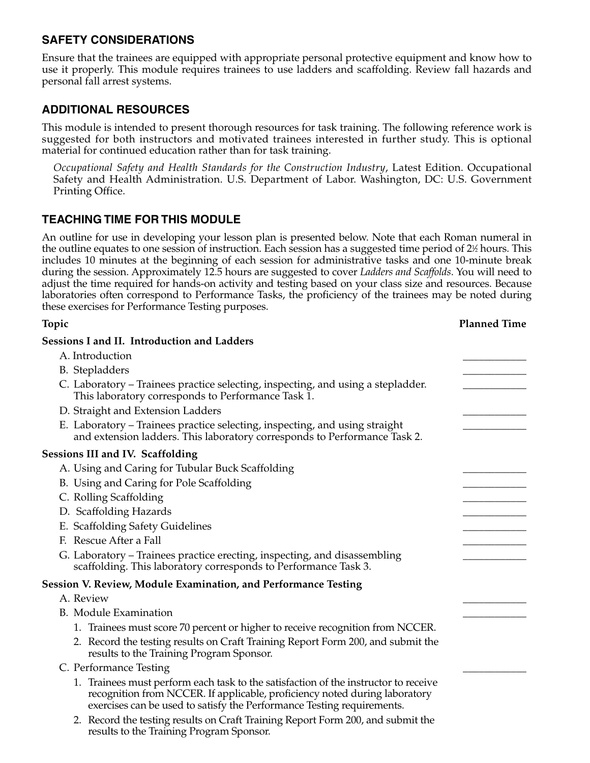## **SAFETY CONSIDERATIONS**

Ensure that the trainees are equipped with appropriate personal protective equipment and know how to use it properly. This module requires trainees to use ladders and scaffolding. Review fall hazards and personal fall arrest systems.

## **ADDITIONAL RESOURCES**

This module is intended to present thorough resources for task training. The following reference work is suggested for both instructors and motivated trainees interested in further study. This is optional material for continued education rather than for task training.

*Occupational Safety and Health Standards for the Construction Industry*, Latest Edition. Occupational Safety and Health Administration. U.S. Department of Labor. Washington, DC: U.S. Government Printing Office.

## **TEACHING TIME FOR THIS MODULE**

An outline for use in developing your lesson plan is presented below. Note that each Roman numeral in the outline equates to one session of instruction. Each session has a suggested time period of 2½ hours. This includes 10 minutes at the beginning of each session for administrative tasks and one 10-minute break during the session. Approximately 12.5 hours are suggested to cover *Ladders and Scaffolds*. You will need to adjust the time required for hands-on activity and testing based on your class size and resources. Because laboratories often correspond to Performance Tasks, the proficiency of the trainees may be noted during these exercises for Performance Testing purposes.

| Topic                                                                                                                                                                                                                                       | <b>Planned Time</b> |
|---------------------------------------------------------------------------------------------------------------------------------------------------------------------------------------------------------------------------------------------|---------------------|
| <b>Sessions I and II. Introduction and Ladders</b>                                                                                                                                                                                          |                     |
| A. Introduction                                                                                                                                                                                                                             |                     |
| B. Stepladders                                                                                                                                                                                                                              |                     |
| C. Laboratory – Trainees practice selecting, inspecting, and using a stepladder.<br>This laboratory corresponds to Performance Task 1.                                                                                                      |                     |
| D. Straight and Extension Ladders                                                                                                                                                                                                           |                     |
| E. Laboratory – Trainees practice selecting, inspecting, and using straight<br>and extension ladders. This laboratory corresponds to Performance Task 2.                                                                                    |                     |
| <b>Sessions III and IV. Scaffolding</b>                                                                                                                                                                                                     |                     |
| A. Using and Caring for Tubular Buck Scaffolding                                                                                                                                                                                            |                     |
| B. Using and Caring for Pole Scaffolding                                                                                                                                                                                                    |                     |
| C. Rolling Scaffolding                                                                                                                                                                                                                      |                     |
| D. Scaffolding Hazards                                                                                                                                                                                                                      |                     |
| E. Scaffolding Safety Guidelines                                                                                                                                                                                                            |                     |
| F. Rescue After a Fall                                                                                                                                                                                                                      |                     |
| G. Laboratory - Trainees practice erecting, inspecting, and disassembling<br>scaffolding. This laboratory corresponds to Performance Task 3.                                                                                                |                     |
| <b>Session V. Review, Module Examination, and Performance Testing</b>                                                                                                                                                                       |                     |
| A. Review                                                                                                                                                                                                                                   |                     |
| <b>B.</b> Module Examination                                                                                                                                                                                                                |                     |
| 1. Trainees must score 70 percent or higher to receive recognition from NCCER.                                                                                                                                                              |                     |
| 2. Record the testing results on Craft Training Report Form 200, and submit the<br>results to the Training Program Sponsor.                                                                                                                 |                     |
| C. Performance Testing                                                                                                                                                                                                                      |                     |
| 1. Trainees must perform each task to the satisfaction of the instructor to receive<br>recognition from NCCER. If applicable, proficiency noted during laboratory<br>exercises can be used to satisfy the Performance Testing requirements. |                     |
| 2. Record the testing results on Craft Training Report Form 200, and submit the<br>results to the Training Program Sponsor.                                                                                                                 |                     |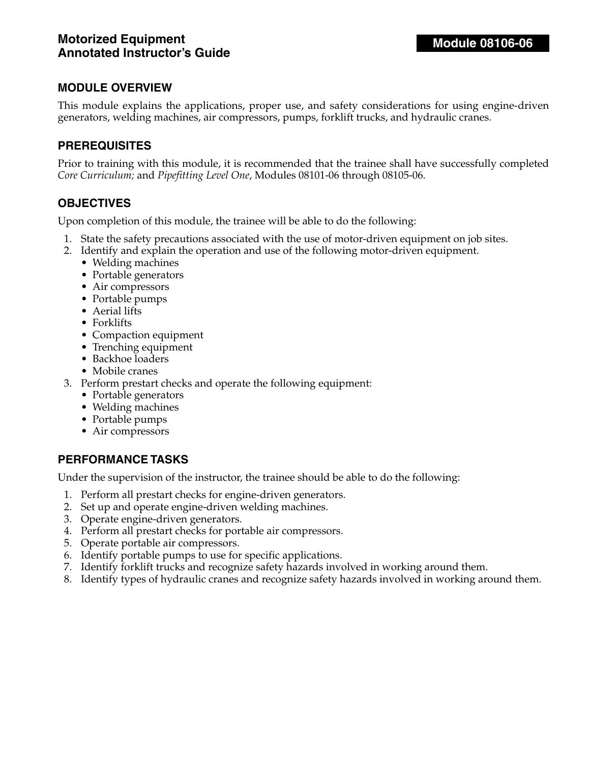This module explains the applications, proper use, and safety considerations for using engine-driven generators, welding machines, air compressors, pumps, forklift trucks, and hydraulic cranes.

#### **PREREQUISITES**

Prior to training with this module, it is recommended that the trainee shall have successfully completed *Core Curriculum;* and *Pipefitting Level One*, Modules 08101-06 through 08105-06.

#### **OBJECTIVES**

Upon completion of this module, the trainee will be able to do the following:

- 1. State the safety precautions associated with the use of motor-driven equipment on job sites.
- 2. Identify and explain the operation and use of the following motor-driven equipment.
	- Welding machines
	- Portable generators
	- Air compressors
	- Portable pumps
	- Aerial lifts
	- Forklifts
	- Compaction equipment
	- Trenching equipment
	- Backhoe loaders
	- Mobile cranes
- 3. Perform prestart checks and operate the following equipment:
	- Portable generators
	- Welding machines
	- Portable pumps
	- Air compressors

#### **PERFORMANCE TASKS**

Under the supervision of the instructor, the trainee should be able to do the following:

- 1. Perform all prestart checks for engine-driven generators.
- 2. Set up and operate engine-driven welding machines.
- 3. Operate engine-driven generators.
- 4. Perform all prestart checks for portable air compressors.
- 5. Operate portable air compressors.
- 6. Identify portable pumps to use for specific applications.
- 7. Identify forklift trucks and recognize safety hazards involved in working around them.
- 8. Identify types of hydraulic cranes and recognize safety hazards involved in working around them.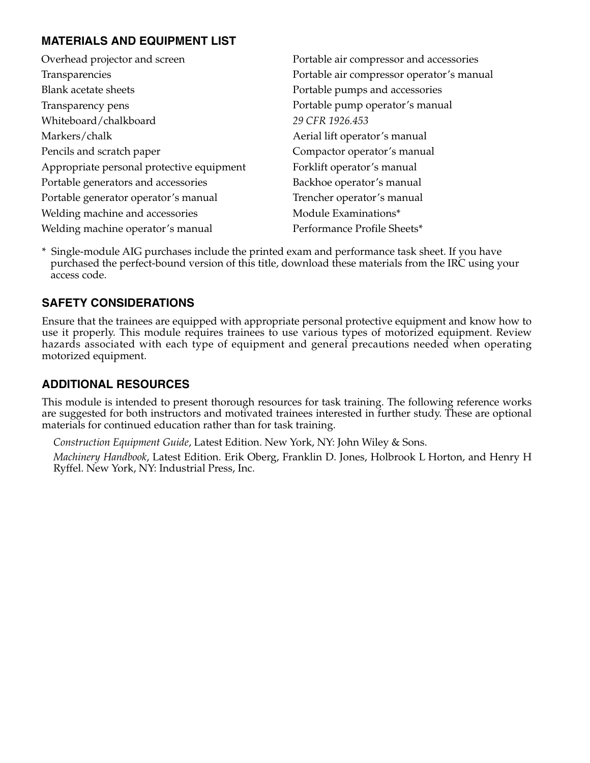## **MATERIALS AND EQUIPMENT LIST**

| Overhead projector and screen             | Portable air compressor and accessories   |
|-------------------------------------------|-------------------------------------------|
| Transparencies                            | Portable air compressor operator's manual |
| <b>Blank acetate sheets</b>               | Portable pumps and accessories            |
| Transparency pens                         | Portable pump operator's manual           |
| Whiteboard/chalkboard                     | 29 CFR 1926.453                           |
| Markers/chalk                             | Aerial lift operator's manual             |
| Pencils and scratch paper                 | Compactor operator's manual               |
| Appropriate personal protective equipment | Forklift operator's manual                |
| Portable generators and accessories       | Backhoe operator's manual                 |
| Portable generator operator's manual      | Trencher operator's manual                |
| Welding machine and accessories           | Module Examinations*                      |
| Welding machine operator's manual         | Performance Profile Sheets*               |

\* Single-module AIG purchases include the printed exam and performance task sheet. If you have purchased the perfect-bound version of this title, download these materials from the IRC using your access code.

## **SAFETY CONSIDERATIONS**

Ensure that the trainees are equipped with appropriate personal protective equipment and know how to use it properly. This module requires trainees to use various types of motorized equipment. Review hazards associated with each type of equipment and general precautions needed when operating motorized equipment.

## **ADDITIONAL RESOURCES**

This module is intended to present thorough resources for task training. The following reference works are suggested for both instructors and motivated trainees interested in further study. These are optional materials for continued education rather than for task training.

*Construction Equipment Guide*, Latest Edition. New York, NY: John Wiley & Sons.

*Machinery Handbook*, Latest Edition. Erik Oberg, Franklin D. Jones, Holbrook L Horton, and Henry H Ryffel. New York, NY: Industrial Press, Inc.